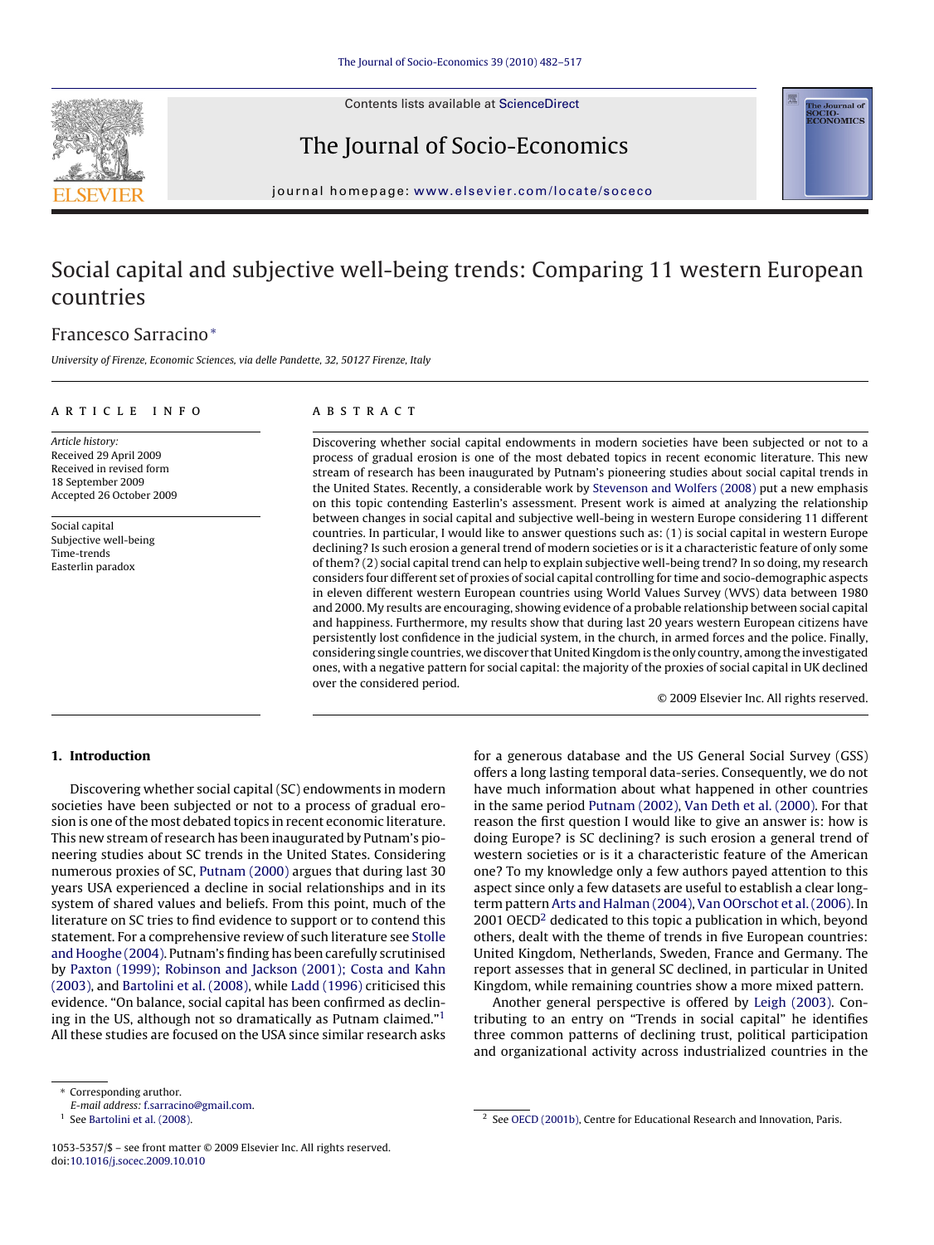Contents lists available at [ScienceDirect](http://www.sciencedirect.com/science/journal/10535357)



The Journal of Socio-Economics



journal homepage: [www.elsevier.com/locate/soceco](http://www.elsevier.com/locate/soceco)

## Social capital and subjective well-being trends: Comparing 11 western European countries

### Francesco Sarracino<sup>∗</sup>

University of Firenze, Economic Sciences, via delle Pandette, 32, 50127 Firenze, Italy

#### article info

#### **ABSTRACT**

Article history: Received 29 April 2009 Received in revised form 18 September 2009 Accepted 26 October 2009

Social capital Subjective well-being Time-trends Easterlin paradox

Discovering whether social capital endowments in modern societies have been subjected or not to a process of gradual erosion is one of the most debated topics in recent economic literature. This new stream of research has been inaugurated by Putnam's pioneering studies about social capital trends in the United States. Recently, a considerable work by [Stevenson and Wolfers \(2008\)](#page--1-0) put a new emphasis on this topic contending Easterlin's assessment. Present work is aimed at analyzing the relationship between changes in social capital and subjective well-being in western Europe considering 11 different countries. In particular, I would like to answer questions such as: (1) is social capital in western Europe declining? Is such erosion a general trend of modern societies or is it a characteristic feature of only some of them? (2) social capital trend can help to explain subjective well-being trend? In so doing, my research considers four different set of proxies of social capital controlling for time and socio-demographic aspects in eleven different western European countries using World Values Survey (WVS) data between 1980 and 2000. My results are encouraging, showing evidence of a probable relationship between social capital and happiness. Furthermore, my results show that during last 20 years western European citizens have persistently lost confidence in the judicial system, in the church, in armed forces and the police. Finally, considering single countries, we discover that United Kingdom is the only country, among the investigated ones, with a negative pattern for social capital: the majority of the proxies of social capital in UK declined over the considered period.

© 2009 Elsevier Inc. All rights reserved.

#### **1. Introduction**

Discovering whether social capital (SC) endowments in modern societies have been subjected or not to a process of gradual erosion is one of the most debated topics in recent economic literature. This new stream of research has been inaugurated by Putnam's pioneering studies about SC trends in the United States. Considering numerous proxies of SC, [Putnam \(2000\)](#page--1-0) argues that during last 30 years USA experienced a decline in social relationships and in its system of shared values and beliefs. From this point, much of the literature on SC tries to find evidence to support or to contend this statement. For a comprehensive review of such literature see [Stolle](#page--1-0) [and Hooghe \(2004\). P](#page--1-0)utnam's finding has been carefully scrutinised by [Paxton \(1999\); Robinson and Jackson \(2001\); Costa and Kahn](#page--1-0) [\(2003\), a](#page--1-0)nd [Bartolini et al. \(2008\), w](#page--1-0)hile [Ladd \(1996\)](#page--1-0) criticised this evidence. "On balance, social capital has been confirmed as declining in the US, although not so dramatically as Putnam claimed."1 All these studies are focused on the USA since similar research asks for a generous database and the US General Social Survey (GSS) offers a long lasting temporal data-series. Consequently, we do not have much information about what happened in other countries in the same period [Putnam \(2002\),](#page--1-0) [Van Deth et al. \(2000\). F](#page--1-0)or that reason the first question I would like to give an answer is: how is doing Europe? is SC declining? is such erosion a general trend of western societies or is it a characteristic feature of the American one? To my knowledge only a few authors payed attention to this aspect since only a few datasets are useful to establish a clear longterm pattern [Arts and Halman \(2004\),](#page--1-0) [Van OOrschot et al. \(2006\). I](#page--1-0)n 2001 OECD<sup>2</sup> dedicated to this topic a publication in which, beyond others, dealt with the theme of trends in five European countries: United Kingdom, Netherlands, Sweden, France and Germany. The report assesses that in general SC declined, in particular in United Kingdom, while remaining countries show a more mixed pattern.

Another general perspective is offered by [Leigh \(2003\).](#page--1-0) Contributing to an entry on "Trends in social capital" he identifies three common patterns of declining trust, political participation and organizational activity across industrialized countries in the

<sup>∗</sup> Corresponding aruthor.

E-mail address: [f.sarracino@gmail.com.](mailto:f.sarracino@gmail.com)

<sup>&</sup>lt;sup>1</sup> See [Bartolini et al. \(2008\).](#page--1-0)

<sup>1053-5357/\$ –</sup> see front matter © 2009 Elsevier Inc. All rights reserved. doi:[10.1016/j.socec.2009.10.010](dx.doi.org/10.1016/j.socec.2009.10.010)

<sup>&</sup>lt;sup>2</sup> See [OECD \(2001b\), C](#page--1-0)entre for Educational Research and Innovation, Paris.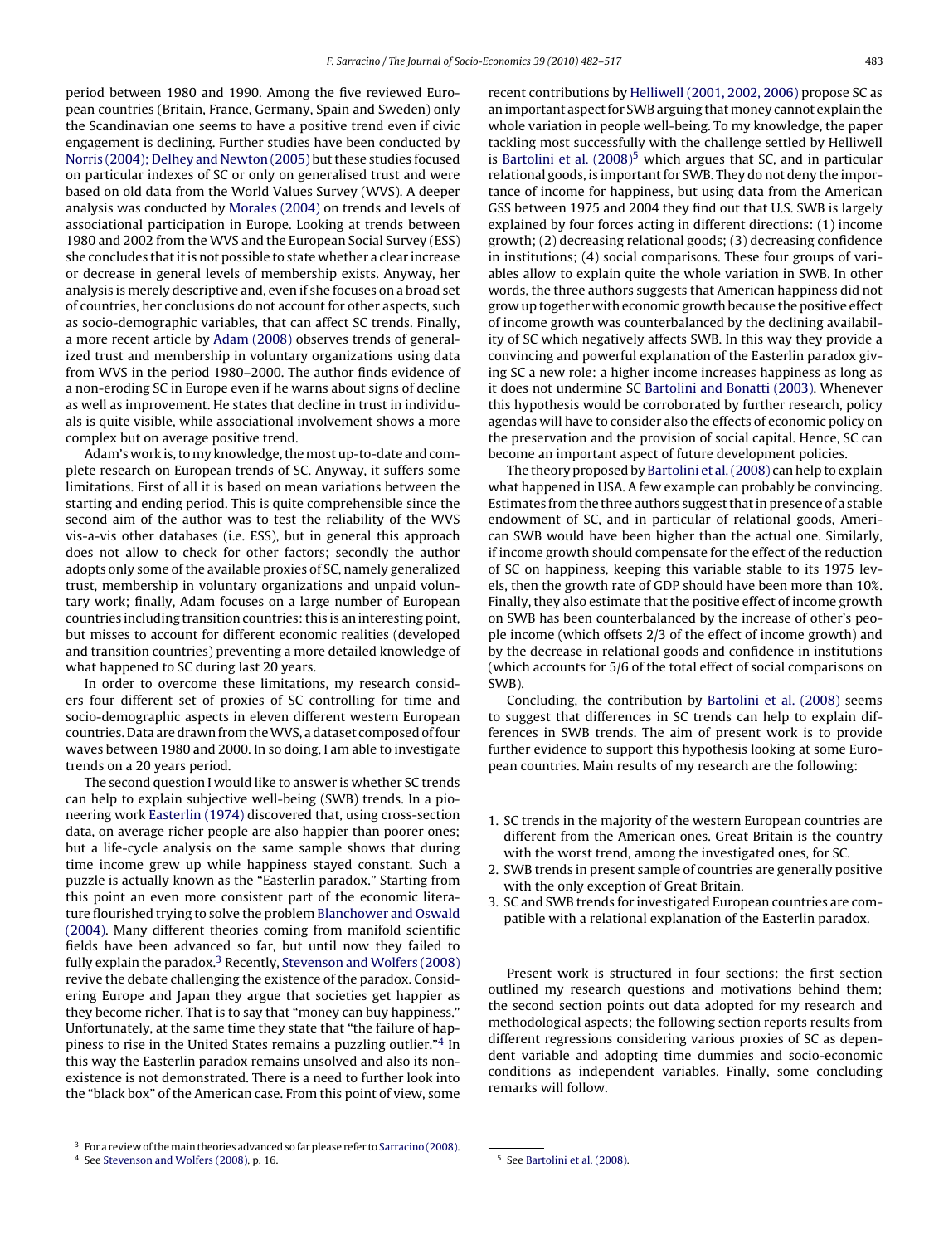period between 1980 and 1990. Among the five reviewed European countries (Britain, France, Germany, Spain and Sweden) only the Scandinavian one seems to have a positive trend even if civic engagement is declining. Further studies have been conducted by [Norris \(2004\); Delhey and Newton \(2005\)](#page--1-0) but these studies focused on particular indexes of SC or only on generalised trust and were based on old data from the World Values Survey (WVS). A deeper analysis was conducted by [Morales \(2004\)](#page--1-0) on trends and levels of associational participation in Europe. Looking at trends between 1980 and 2002 from the WVS and the European Social Survey (ESS) she concludes that it is not possible to state whether a clear increase or decrease in general levels of membership exists. Anyway, her analysis is merely descriptive and, even if she focuses on a broad set of countries, her conclusions do not account for other aspects, such as socio-demographic variables, that can affect SC trends. Finally, a more recent article by [Adam \(2008\)](#page--1-0) observes trends of generalized trust and membership in voluntary organizations using data from WVS in the period 1980–2000. The author finds evidence of a non-eroding SC in Europe even if he warns about signs of decline as well as improvement. He states that decline in trust in individuals is quite visible, while associational involvement shows a more complex but on average positive trend.

Adam's work is, to my knowledge, the most up-to-date and complete research on European trends of SC. Anyway, it suffers some limitations. First of all it is based on mean variations between the starting and ending period. This is quite comprehensible since the second aim of the author was to test the reliability of the WVS vis-a-vis other databases (i.e. ESS), but in general this approach does not allow to check for other factors; secondly the author adopts only some of the available proxies of SC, namely generalized trust, membership in voluntary organizations and unpaid voluntary work; finally, Adam focuses on a large number of European countries including transition countries: this is an interesting point, but misses to account for different economic realities (developed and transition countries) preventing a more detailed knowledge of what happened to SC during last 20 years.

In order to overcome these limitations, my research considers four different set of proxies of SC controlling for time and socio-demographic aspects in eleven different western European countries. Data are drawn from theWVS, a dataset composed of four waves between 1980 and 2000. In so doing, I am able to investigate trends on a 20 years period.

The second question I would like to answer is whether SC trends can help to explain subjective well-being (SWB) trends. In a pioneering work [Easterlin \(1974\)](#page--1-0) discovered that, using cross-section data, on average richer people are also happier than poorer ones; but a life-cycle analysis on the same sample shows that during time income grew up while happiness stayed constant. Such a puzzle is actually known as the "Easterlin paradox." Starting from this point an even more consistent part of the economic literature flourished trying to solve the problem [Blanchower and Oswald](#page--1-0) [\(2004\).](#page--1-0) Many different theories coming from manifold scientific fields have been advanced so far, but until now they failed to fully explain the paradox. $3$  Recently, [Stevenson and Wolfers \(2008\)](#page--1-0) revive the debate challenging the existence of the paradox. Considering Europe and Japan they argue that societies get happier as they become richer. That is to say that "money can buy happiness." Unfortunately, at the same time they state that "the failure of happiness to rise in the United States remains a puzzling outlier."4 In this way the Easterlin paradox remains unsolved and also its nonexistence is not demonstrated. There is a need to further look into the "black box" of the American case. From this point of view, some recent contributions by [Helliwell \(2001, 2002, 2006\)](#page--1-0) propose SC as an important aspect for SWB arguing that money cannot explain the whole variation in people well-being. To my knowledge, the paper tackling most successfully with the challenge settled by Helliwell is Bartolini et al.  $(2008)^5$  which argues that SC, and in particular relational goods, is important for SWB. They do not deny the importance of income for happiness, but using data from the American GSS between 1975 and 2004 they find out that U.S. SWB is largely explained by four forces acting in different directions: (1) income growth; (2) decreasing relational goods; (3) decreasing confidence in institutions; (4) social comparisons. These four groups of variables allow to explain quite the whole variation in SWB. In other words, the three authors suggests that American happiness did not grow up together with economic growth because the positive effect of income growth was counterbalanced by the declining availability of SC which negatively affects SWB. In this way they provide a convincing and powerful explanation of the Easterlin paradox giving SC a new role: a higher income increases happiness as long as it does not undermine SC [Bartolini and Bonatti \(2003\). W](#page--1-0)henever this hypothesis would be corroborated by further research, policy agendas will have to consider also the effects of economic policy on the preservation and the provision of social capital. Hence, SC can become an important aspect of future development policies.

The theory proposed by [Bartolini et al. \(2008\)](#page--1-0) can help to explain what happened in USA. A few example can probably be convincing. Estimates from the three authors suggest that in presence of a stable endowment of SC, and in particular of relational goods, American SWB would have been higher than the actual one. Similarly, if income growth should compensate for the effect of the reduction of SC on happiness, keeping this variable stable to its 1975 levels, then the growth rate of GDP should have been more than 10%. Finally, they also estimate that the positive effect of income growth on SWB has been counterbalanced by the increase of other's people income (which offsets 2/3 of the effect of income growth) and by the decrease in relational goods and confidence in institutions (which accounts for 5/6 of the total effect of social comparisons on SWB).

Concluding, the contribution by [Bartolini et al. \(2008\)](#page--1-0) seems to suggest that differences in SC trends can help to explain differences in SWB trends. The aim of present work is to provide further evidence to support this hypothesis looking at some European countries. Main results of my research are the following:

- 1. SC trends in the majority of the western European countries are different from the American ones. Great Britain is the country with the worst trend, among the investigated ones, for SC.
- 2. SWB trends in present sample of countries are generally positive with the only exception of Great Britain.
- 3. SC and SWB trends for investigated European countries are compatible with a relational explanation of the Easterlin paradox.

Present work is structured in four sections: the first section outlined my research questions and motivations behind them; the second section points out data adopted for my research and methodological aspects; the following section reports results from different regressions considering various proxies of SC as dependent variable and adopting time dummies and socio-economic conditions as independent variables. Finally, some concluding remarks will follow.

 $3$  For a review of the main theories advanced so far please refer to [Sarracino \(2008\).](#page--1-0)

<sup>4</sup> See [Stevenson and Wolfers \(2008\), p](#page--1-0). 16.

<sup>5</sup> See [Bartolini et al. \(2008\).](#page--1-0)